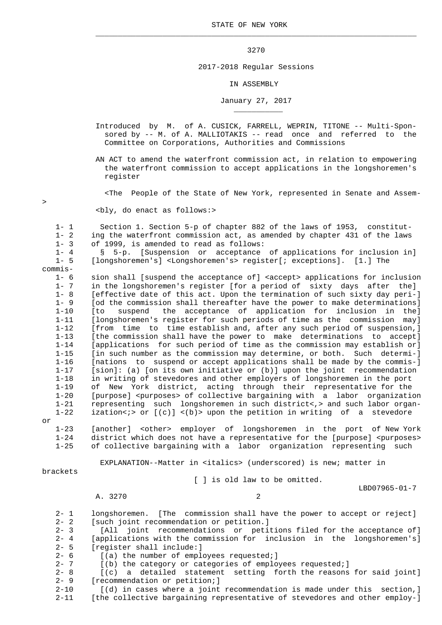$\mathcal{L}_\mathcal{L}$  , and the set of the set of the set of the set of the set of the set of the set of the set of the set of the set of the set of the set of the set of the set of the set of the set of the set of the set of th

## 3270

## 2017-2018 Regular Sessions

## IN ASSEMBLY

## January 27, 2017

 Introduced by M. of A. CUSICK, FARRELL, WEPRIN, TITONE -- Multi-Spon sored by -- M. of A. MALLIOTAKIS -- read once and referred to the Committee on Corporations, Authorities and Commissions

 AN ACT to amend the waterfront commission act, in relation to empowering the waterfront commission to accept applications in the longshoremen's register

<The People of the State of New York, represented in Senate and Assem-

<bly, do enact as follows:>

\_\_\_\_\_\_\_\_\_\_\_

 1- 1 Section 1. Section 5-p of chapter 882 of the laws of 1953, constitut- 1- 2 ing the waterfront commission act, as amended by chapter 431 of the laws 1- 3 of 1999, is amended to read as follows:

 1- 4 § 5-p. [Suspension or acceptance of applications for inclusion in] [longshoremen's] <Longshoremen's> register[; exceptions]. [1.] The

commis-

 1- 6 sion shall [suspend the acceptance of] <accept> applications for inclusion 1- 7 in the longshoremen's register [for a period of sixty days after the] 1- 8 [effective date of this act. Upon the termination of such sixty day peri-] 1- 9 [od the commission shall thereafter have the power to make determinations] 1-10 [to suspend the acceptance of application for inclusion in the]<br>1-11 [longshoremen's register for such periods of time as the commission may] 1-11 [longshoremen's register for such periods of time as the commission may]<br>1-12 [from time to time establish and, after any such period of suspension,] 1-12 [from time to time establish and, after any such period of suspension,] 1-13 [the commission shall have the power to make determinations to accept]<br>1-14 [applications for such period of time as the commission may establish or] 1-14 [applications for such period of time as the commission may establish or  $\overline{1}$ <br>1-15 [in such number as the commission may determine, or both. Such determi-] 1-15 [in such number as the commission may determine, or both. Such determi-]  $[$ nations to suspend or accept applications shall be made by the commis- $\overline{]}$  1-17 [sion]: (a) [on its own initiative or (b)] upon the joint recommendation 1-18 in writing of stevedores and other employers of longshoremen in the port 1-19 of New York district, acting through their representative for the 1-20 [purpose] <purposes> of collective bargaining with a labor organization 1-21 representing such longshoremen in such district<,> and such labor organ- 1-22 ization<;> or  $[(c)]$  <(b)> upon the petition in writing of a stevedore

or

 1-23 [another] <other> employer of longshoremen in the port of New York 1-24 district which does not have a representative for the [purpose] <purposes> 1-25 of collective bargaining with a labor organization representing such

EXPLANATION--Matter in <italics> (underscored) is new; matter in

brackets

I I is old law to be omitted.

LBD07965-01-7

A. 3270 2

2- 1 longshoremen. [The commission shall have the power to accept or reject]<br>2- 2 Such ioint recommendation or petition.] [such joint recommendation or petition.] 2- 3 [All joint recommendations or petitions filed for the acceptance of]<br>2- 4 [applications with the commission for inclusion in the longshoremen'sl [applications with the commission for inclusion in the longshoremen's] 2- 5 [register shall include:]<br>2- 6 [(a) the number of empl 2- 6 [(a) the number of employees requested;]<br>2- 7 [(b) the category or categories of emplo 2- 7 [(b) the category or categories of employees requested;]<br>2- 8 [(c) a detailed statement setting forth the reasons  $[(c)$  a detailed statement setting forth the reasons for said joint] 2- 9 [recommendation or petition;]

2-10 [(d) in cases where a joint recommendation is made under this section,]

2-11 [the collective bargaining representative of stevedores and other employ-]

>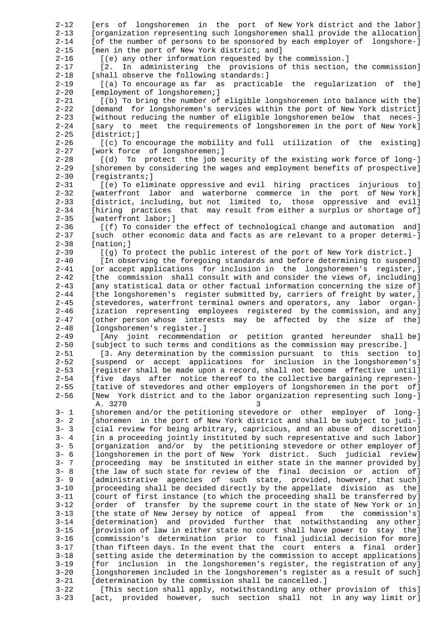2-12 [ers of longshoremen in the port of New York district and the labor] 2-13 [organization representing such longshoremen shall provide the allocation] 2-14 [of the number of persons to be sponsored by each employer of longshore-] 2-15 [men in the port of New York district; and] 2-16 [(e) any other information requested by the commission.] 2-17 [2. In administering the provisions of this section, the commission] 2-18 [shall observe the following standards:] 2-19 [(a) To encourage as far as practicable the regularization of the] 2-20 [employment of longshoremen;] 2-21 [(b) To bring the number of eligible longshoremen into balance with the]<br>2-22 [demand for longshoremen's services within the port of New York district] [demand for longshoremen's services within the port of New York district] 2-23 [without reducing the number of eligible longshoremen below that neces-] 2-24 [sary to meet the requirements of longshoremen in the port of New York]<br>2-25 [district;]  $[distinct;]$  2-26 [(c) To encourage the mobility and full utilization of the existing] 2-27 [work force of longshoremen;] 2-28 [(d) To protect the job security of the existing work force of long-]<br>2-29 [shoremen by considering the wages and employment benefits of prospectivel [shoremen by considering the wages and employment benefits of prospective] 2-30 [registrants;] 2-31 [(e) To eliminate oppressive and evil hiring practices injurious to] 2-32 [waterfront labor and waterborne commerce in the port of New York] 2-33 [district, including, but not limited to, those oppressive and evil] 2-34 [hiring practices that may result from either a surplus or shortage of] 2-35 [waterfront labor;] 2-36 [(f) To consider the effect of technological change and automation and] 2-37 [such other economic data and facts as are relevant to a proper determi-] 2-38 [nation;] 2-39 [(g) To protect the public interest of the port of New York district.] 2-40 [In observing the foregoing standards and before determining to suspend] 2-41 [or accept applications for inclusion in the longshoremen's register,] 2-42 [the commission shall consult with and consider the views of, including] 2-43 [any statistical data or other factual information concerning the size of] 2-44 [the longshoremen's register submitted by, carriers of freight by water,] 2-45 [stevedores, waterfront terminal owners and operators, any labor organ-] 2-46 [ization representing employees registered by the commission, and any] 2-47 [other person whose interests may be affected by the size of the] 2-48 [longshoremen's register.] 2-49 [Any joint recommendation or petition granted hereunder shall be]<br>2-50 [subject to such terms and conditions as the commission may prescribe.] [subject to such terms and conditions as the commission may prescribe.] 2-51 [3. Any determination by the commission pursuant to this section to]<br>2-52 [Suspend or accept applications for inclusion in the longshoremen's] [suspend or accept applications for inclusion in the longshoremen's] 2-53 [register shall be made upon a record, shall not become effective until] 2-54 [five days after notice thereof to the collective bargaining represen-] 2-55 [tative of stevedores and other employers of longshoremen in the port of] 2-56 [New York district and to the labor organization representing such long-] A. 3270<br>3-1 [shoreme 3- 1 [shoremen and/or the petitioning stevedore or other employer of long-]<br>3- 2 [shoremen in the port of New York district and shall be subject to judi-1 [shoremen in the port of New York district and shall be subject to judi-] 3- 3 [cial review for being arbitrary, capricious, and an abuse of discretion] 3- 4 [in a proceeding jointly instituted by such representative and such labor] 3- 5 [organization and/or by the petitioning stevedore or other employer of] 3- 6 [longshoremen in the port of New York district. Such judicial review] 3- 7 [proceeding may be instituted in either state in the manner provided by] 3- 8 [the law of such state for review of the final decision or action of] 3- 9 [administrative agencies of such state, provided, however, that such] 3-10 [proceeding shall be decided directly by the appellate division as the] 3-11 [court of first instance (to which the proceeding shall be transferred by] 3-12 [order of transfer by the supreme court in the state of New York or in] 3-13 [the state of New Jersey by notice of appeal from the commission's] 3-14 [determination) and provided further that notwithstanding any other] 3-15 [provision of law in either state no court shall have power to stay the] 3-16 [commission's determination prior to final judicial decision for more] 3-17 [than fifteen days. In the event that the court enters a final order] 3-18 [setting aside the determination by the commission to accept applications] 3-19 [for inclusion in the longshoremen's register, the registration of any] 3-20 [longshoremen included in the longshoremen's register as a result of such] 3-21 [determination by the commission shall be cancelled.] 3-22 [This section shall apply, notwithstanding any other provision of this] 3-23 [act, provided however, such section shall not in any way limit or]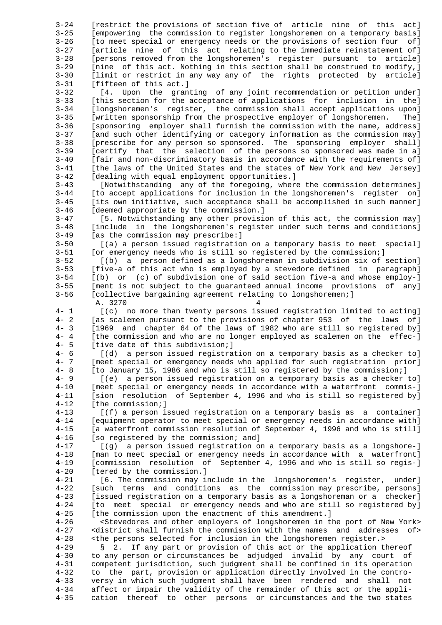3-24 [restrict the provisions of section five of article nine of this act] 3-25 [empowering the commission to register longshoremen on a temporary basis] 3-26 [to meet special or emergency needs or the provisions of section four of] 3-27 [article nine of this act relating to the immediate reinstatement of] 3-28 [persons removed from the longshoremen's register pursuant to article] 3-29 [nine of this act. Nothing in this section shall be construed to modify,] 3-30 [limit or restrict in any way any of the rights protected by article] 3-31 [fifteen of this act.] 3-32 [4. Upon the granting of any joint recommendation or petition under] 3-33 [this section for the acceptance of applications for inclusion in the] [longshoremen's register, the commission shall accept applications upon] 3-35 [written sponsorship from the prospective employer of longshoremen. The] 3-36 [sponsoring employer shall furnish the commission with the name, address] 3-37 [and such other identifying or category information as the commission may] 3-38 [prescribe for any person so sponsored. The sponsoring employer shall]<br>3-39 [Certify that the selection of the persons so sponsored was made in al 3-39 [certify that the selection of the persons so sponsored was made in a]<br>3-40 [fair and non-discriminatory basis in accordance with the requirements of] 3-40 [fair and non-discriminatory basis in accordance with the requirements of] 3-41 [the laws of the United States and the states of New York and New Jersey] [dealing with equal employment opportunities.] 3-43 [Notwithstanding any of the foregoing, where the commission determines] 3-44 [to accept applications for inclusion in the longshoremen's register on] 3-45 [its own initiative, such acceptance shall be accomplished in such manner] 3-46 [deemed appropriate by the commission.] 3-47 [5. Notwithstanding any other provision of this act, the commission may] 3-48 [include in the longshoremen's register under such terms and conditions] 3-49 [as the commission may prescribe:] 3-50 [(a) a person issued registration on a temporary basis to meet special] 3-51 [or emergency needs who is still so registered by the commission;] 3-52 [(b) a person defined as a longshoreman in subdivision six of section] 3-53 [five-a of this act who is employed by a stevedore defined in paragraph]  $3-54$   $(6)$  or  $(c)$  of subdivision one of said section five-a and whose employ- 3-55 [ment is not subject to the guaranteed annual income provisions of any] 3-56 [collective bargaining agreement relating to longshoremen;] 4<br>4- 1  $\begin{array}{ccc} 1 & 3270 \\ 1 & 1 \end{array}$  (c) no more than twenty persons is 4- 1 [(c) no more than twenty persons issued registration limited to acting]<br>4- 2 [as scalemen pursuant to the provisions of chapter 953 of the laws of] 4- 2 [as scalemen pursuant to the provisions of chapter 953 of the laws of] 4- 3 [1969 and chapter 64 of the laws of 1982 who are still so registered by] 4- 4 [the commission and who are no longer employed as scalemen on the effec-]<br>4- 5 I tive date of this subdivision; ] 4- 5 [tive date of this subdivision;]<br>4- 6 [(d) a person issued registra 4- 6 [(d) a person issued registration on a temporary basis as a checker to]<br>4- 7 [meet special or emergency needs who applied for such registration prior] 4- 7 [meet special or emergency needs who applied for such registration prior]<br>4- 8 [to January 15, 1986 and who is still so registered by the commission;] 4- 8 [to January 15, 1986 and who is still so registered by the commission;]<br>4- 9 [(e) a person issued registration on a temporary basis as a checker 4- 9 [(e) a person issued registration on a temporary basis as a checker to] [meet special or emergency needs in accordance with a waterfront commis-] 4-11 [sion resolution of September 4, 1996 and who is still so registered by] 4-12 [the commission;] 4-13 [(f) a person issued registration on a temporary basis as a container] 4-14 [equipment operator to meet special or emergency needs in accordance with] 4-15 [a waterfront commission resolution of September 4, 1996 and who is still] 4-16 [so registered by the commission; and] 4-17 [(g) a person issued registration on a temporary basis as a longshore-] 4-18 [man to meet special or emergency needs in accordance with a waterfront] 4-19 [commission resolution of September 4, 1996 and who is still so regis-] 4-20 [tered by the commission.] 4-21 [6. The commission may include in the longshoremen's register, under] 4-22 [such terms and conditions as the commission may prescribe, persons] 4-23 [issued registration on a temporary basis as a longshoreman or a checker] 4-24 [to meet special or emergency needs and who are still so registered by] 4-25 [the commission upon the enactment of this amendment.] 4-26 <Stevedores and other employers of longshoremen in the port of New York> 4-27 <district shall furnish the commission with the names and addresses of> 4-28 <the persons selected for inclusion in the longshoremen register.> 4-29 § 2. If any part or provision of this act or the application thereof 4-30 to any person or circumstances be adjudged invalid by any court of 4-31 competent jurisdiction, such judgment shall be confined in its operation 4-32 to the part, provision or application directly involved in the contro- 4-33 versy in which such judgment shall have been rendered and shall not 4-34 affect or impair the validity of the remainder of this act or the appli- 4-35 cation thereof to other persons or circumstances and the two states